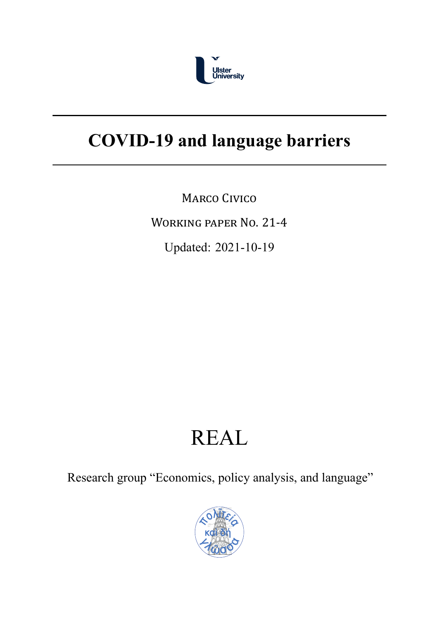

# **COVID-19 and language barriers**

MARCO CIVICO

WORKING PAPER NO. 21‐4

Updated: 2021-10-19

# REAL

Research group "Economics, policy analysis, and language"

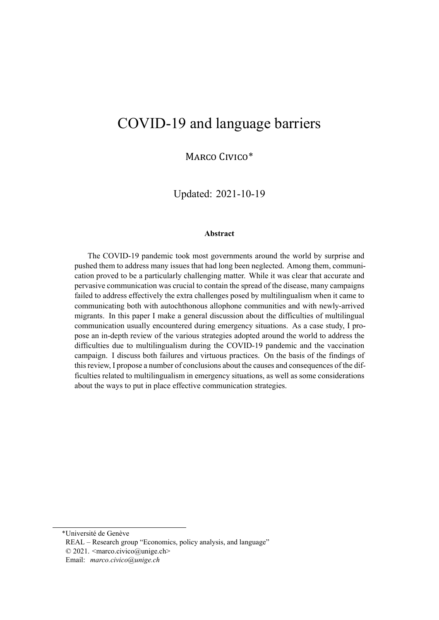# COVID-19 and language barriers

MARCO CIVICO\*

Updated: 2021-10-19

#### **Abstract**

The COVID-19 pandemic took most governments around the world by surprise and pushed them to address many issues that had long been neglected. Among them, communication proved to be a particularly challenging matter. While it was clear that accurate and pervasive communication was crucial to contain the spread of the disease, many campaigns failed to address effectively the extra challenges posed by multilingualism when it came to communicating both with autochthonous allophone communities and with newly-arrived migrants. In this paper I make a general discussion about the difficulties of multilingual communication usually encountered during emergency situations. As a case study, I propose an in-depth review of the various strategies adopted around the world to address the difficulties due to multilingualism during the COVID-19 pandemic and the vaccination campaign. I discuss both failures and virtuous practices. On the basis of the findings of this review, I propose a number of conclusions about the causes and consequences of the difficulties related to multilingualism in emergency situations, as well as some considerations about the ways to put in place effective communication strategies.

\*Université de Genève

REAL – Research group "Economics, policy analysis, and language" © 2021. <marco.civico@unige.ch>

Email: *marco.civico@unige.ch*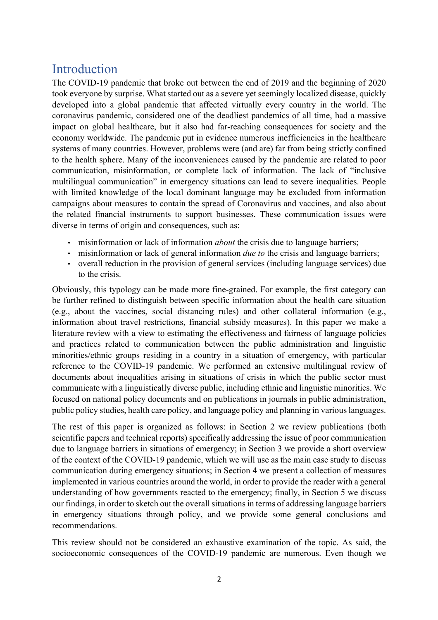# Introduction

The COVID-19 pandemic that broke out between the end of 2019 and the beginning of 2020 took everyone by surprise. What started out as a severe yet seemingly localized disease, quickly developed into a global pandemic that affected virtually every country in the world. The coronavirus pandemic, considered one of the deadliest pandemics of all time, had a massive impact on global healthcare, but it also had far-reaching consequences for society and the economy worldwide. The pandemic put in evidence numerous inefficiencies in the healthcare systems of many countries. However, problems were (and are) far from being strictly confined to the health sphere. Many of the inconveniences caused by the pandemic are related to poor communication, misinformation, or complete lack of information. The lack of "inclusive multilingual communication" in emergency situations can lead to severe inequalities. People with limited knowledge of the local dominant language may be excluded from information campaigns about measures to contain the spread of Coronavirus and vaccines, and also about the related financial instruments to support businesses. These communication issues were diverse in terms of origin and consequences, such as:

- misinformation or lack of information *about* the crisis due to language barriers;
- misinformation or lack of general information *due to* the crisis and language barriers;
- overall reduction in the provision of general services (including language services) due to the crisis.

Obviously, this typology can be made more fine-grained. For example, the first category can be further refined to distinguish between specific information about the health care situation (e.g., about the vaccines, social distancing rules) and other collateral information (e.g., information about travel restrictions, financial subsidy measures). In this paper we make a literature review with a view to estimating the effectiveness and fairness of language policies and practices related to communication between the public administration and linguistic minorities/ethnic groups residing in a country in a situation of emergency, with particular reference to the COVID-19 pandemic. We performed an extensive multilingual review of documents about inequalities arising in situations of crisis in which the public sector must communicate with a linguistically diverse public, including ethnic and linguistic minorities. We focused on national policy documents and on publications in journals in public administration, public policy studies, health care policy, and language policy and planning in various languages.

The rest of this paper is organized as follows: in Section 2 we review publications (both scientific papers and technical reports) specifically addressing the issue of poor communication due to language barriers in situations of emergency; in Section 3 we provide a short overview of the context of the COVID-19 pandemic, which we will use as the main case study to discuss communication during emergency situations; in Section 4 we present a collection of measures implemented in various countries around the world, in order to provide the reader with a general understanding of how governments reacted to the emergency; finally, in Section 5 we discuss our findings, in order to sketch out the overall situations in terms of addressing language barriers in emergency situations through policy, and we provide some general conclusions and recommendations.

This review should not be considered an exhaustive examination of the topic. As said, the socioeconomic consequences of the COVID-19 pandemic are numerous. Even though we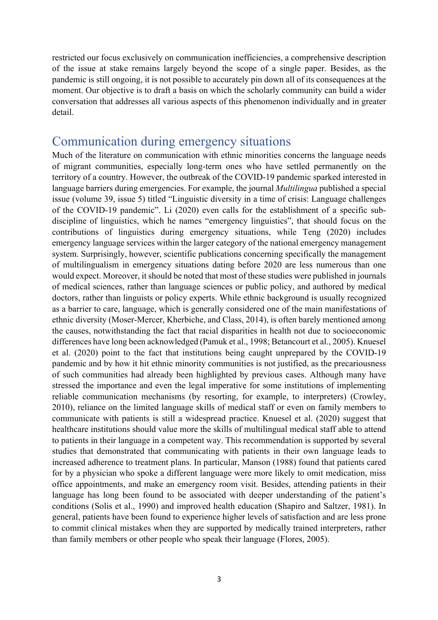restricted our focus exclusively on communication inefficiencies, a comprehensive description of the issue at stake remains largely beyond the scope of a single paper. Besides, as the pandemic is still ongoing, it is not possible to accurately pin down all of its consequences at the moment. Our objective is to draft a basis on which the scholarly community can build a wider conversation that addresses all various aspects of this phenomenon individually and in greater detail.

### Communication during emergency situations

Much of the literature on communication with ethnic minorities concerns the language needs of migrant communities, especially long-term ones who have settled permanently on the territory of a country. However, the outbreak of the COVID-19 pandemic sparked interested in language barriers during emergencies. For example, the journal *Multilingua* published a special issue (volume 39, issue 5) titled "Linguistic diversity in a time of crisis: Language challenges of the COVID-19 pandemic". Li (2020) even calls for the establishment of a specific subdiscipline of linguistics, which he names "emergency linguistics", that should focus on the contributions of linguistics during emergency situations, while Teng (2020) includes emergency language services within the larger category of the national emergency management system. Surprisingly, however, scientific publications concerning specifically the management of multilingualism in emergency situations dating before 2020 are less numerous than one would expect. Moreover, it should be noted that most of these studies were published in journals of medical sciences, rather than language sciences or public policy, and authored by medical doctors, rather than linguists or policy experts. While ethnic background is usually recognized as a barrier to care, language, which is generally considered one of the main manifestations of ethnic diversity (Moser-Mercer, Kherbiche, and Class, 2014), is often barely mentioned among the causes, notwithstanding the fact that racial disparities in health not due to socioeconomic differences have long been acknowledged (Pamuk et al., 1998; Betancourt et al., 2005). Knuesel et al. (2020) point to the fact that institutions being caught unprepared by the COVID-19 pandemic and by how it hit ethnic minority communities is not justified, as the precariousness of such communities had already been highlighted by previous cases. Although many have stressed the importance and even the legal imperative for some institutions of implementing reliable communication mechanisms (by resorting, for example, to interpreters) (Crowley, 2010), reliance on the limited language skills of medical staff or even on family members to communicate with patients is still a widespread practice. Knuesel et al. (2020) suggest that healthcare institutions should value more the skills of multilingual medical staff able to attend to patients in their language in a competent way. This recommendation is supported by several studies that demonstrated that communicating with patients in their own language leads to increased adherence to treatment plans. In particular, Manson (1988) found that patients cared for by a physician who spoke a different language were more likely to omit medication, miss office appointments, and make an emergency room visit. Besides, attending patients in their language has long been found to be associated with deeper understanding of the patient's conditions (Solis et al., 1990) and improved health education (Shapiro and Saltzer, 1981). In general, patients have been found to experience higher levels of satisfaction and are less prone to commit clinical mistakes when they are supported by medically trained interpreters, rather than family members or other people who speak their language (Flores, 2005).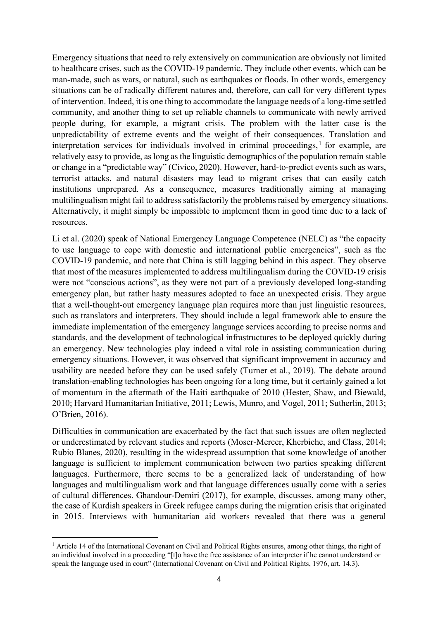Emergency situations that need to rely extensively on communication are obviously not limited to healthcare crises, such as the COVID-19 pandemic. They include other events, which can be man-made, such as wars, or natural, such as earthquakes or floods. In other words, emergency situations can be of radically different natures and, therefore, can call for very different types of intervention. Indeed, it is one thing to accommodate the language needs of a long-time settled community, and another thing to set up reliable channels to communicate with newly arrived people during, for example, a migrant crisis. The problem with the latter case is the unpredictability of extreme events and the weight of their consequences. Translation and interpretation services for individuals involved in criminal proceedings,  $\frac{1}{1}$  for example, are relatively easy to provide, as long as the linguistic demographics of the population remain stable or change in a "predictable way" (Civico, 2020). However, hard-to-predict events such as wars, terrorist attacks, and natural disasters may lead to migrant crises that can easily catch institutions unprepared. As a consequence, measures traditionally aiming at managing multilingualism might fail to address satisfactorily the problems raised by emergency situations. Alternatively, it might simply be impossible to implement them in good time due to a lack of resources.

Li et al. (2020) speak of National Emergency Language Competence (NELC) as "the capacity to use language to cope with domestic and international public emergencies", such as the COVID-19 pandemic, and note that China is still lagging behind in this aspect. They observe that most of the measures implemented to address multilingualism during the COVID-19 crisis were not "conscious actions", as they were not part of a previously developed long-standing emergency plan, but rather hasty measures adopted to face an unexpected crisis. They argue that a well-thought-out emergency language plan requires more than just linguistic resources, such as translators and interpreters. They should include a legal framework able to ensure the immediate implementation of the emergency language services according to precise norms and standards, and the development of technological infrastructures to be deployed quickly during an emergency. New technologies play indeed a vital role in assisting communication during emergency situations. However, it was observed that significant improvement in accuracy and usability are needed before they can be used safely (Turner et al., 2019). The debate around translation-enabling technologies has been ongoing for a long time, but it certainly gained a lot of momentum in the aftermath of the Haiti earthquake of 2010 (Hester, Shaw, and Biewald, 2010; Harvard Humanitarian Initiative, 2011; Lewis, Munro, and Vogel, 2011; Sutherlin, 2013; O'Brien, 2016).

Difficulties in communication are exacerbated by the fact that such issues are often neglected or underestimated by relevant studies and reports (Moser-Mercer, Kherbiche, and Class, 2014; Rubio Blanes, 2020), resulting in the widespread assumption that some knowledge of another language is sufficient to implement communication between two parties speaking different languages. Furthermore, there seems to be a generalized lack of understanding of how languages and multilingualism work and that language differences usually come with a series of cultural differences. Ghandour-Demiri (2017), for example, discusses, among many other, the case of Kurdish speakers in Greek refugee camps during the migration crisis that originated in 2015. Interviews with humanitarian aid workers revealed that there was a general

<sup>&</sup>lt;sup>1</sup> Article 14 of the International Covenant on Civil and Political Rights ensures, among other things, the right of an individual involved in a proceeding "[t]o have the free assistance of an interpreter if he cannot understand or speak the language used in court" (International Covenant on Civil and Political Rights, 1976, art. 14.3).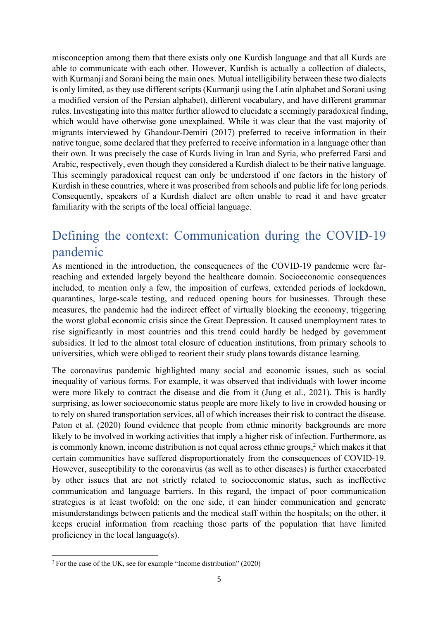misconception among them that there exists only one Kurdish language and that all Kurds are able to communicate with each other. However, Kurdish is actually a collection of dialects, with Kurmanji and Sorani being the main ones. Mutual intelligibility between these two dialects is only limited, as they use different scripts (Kurmanji using the Latin alphabet and Sorani using a modified version of the Persian alphabet), different vocabulary, and have different grammar rules. Investigating into this matter further allowed to elucidate a seemingly paradoxical finding, which would have otherwise gone unexplained. While it was clear that the vast majority of migrants interviewed by Ghandour-Demiri (2017) preferred to receive information in their native tongue, some declared that they preferred to receive information in a language other than their own. It was precisely the case of Kurds living in Iran and Syria, who preferred Farsi and Arabic, respectively, even though they considered a Kurdish dialect to be their native language. This seemingly paradoxical request can only be understood if one factors in the history of Kurdish in these countries, where it was proscribed from schools and public life for long periods. Consequently, speakers of a Kurdish dialect are often unable to read it and have greater familiarity with the scripts of the local official language.

# Defining the context: Communication during the COVID-19 pandemic

As mentioned in the introduction, the consequences of the COVID-19 pandemic were farreaching and extended largely beyond the healthcare domain. Socioeconomic consequences included, to mention only a few, the imposition of curfews, extended periods of lockdown, quarantines, large-scale testing, and reduced opening hours for businesses. Through these measures, the pandemic had the indirect effect of virtually blocking the economy, triggering the worst global economic crisis since the Great Depression. It caused unemployment rates to rise significantly in most countries and this trend could hardly be hedged by government subsidies. It led to the almost total closure of education institutions, from primary schools to universities, which were obliged to reorient their study plans towards distance learning.

The coronavirus pandemic highlighted many social and economic issues, such as social inequality of various forms. For example, it was observed that individuals with lower income were more likely to contract the disease and die from it (Jung et al., 2021). This is hardly surprising, as lower socioeconomic status people are more likely to live in crowded housing or to rely on shared transportation services, all of which increases their risk to contract the disease. Paton et al. (2020) found evidence that people from ethnic minority backgrounds are more likely to be involved in working activities that imply a higher risk of infection. Furthermore, as is commonly known, income distribution is not equal across ethnic groups, $2$  which makes it that certain communities have suffered disproportionately from the consequences of COVID-19. However, susceptibility to the coronavirus (as well as to other diseases) is further exacerbated by other issues that are not strictly related to socioeconomic status, such as ineffective communication and language barriers. In this regard, the impact of poor communication strategies is at least twofold: on the one side, it can hinder communication and generate misunderstandings between patients and the medical staff within the hospitals; on the other, it keeps crucial information from reaching those parts of the population that have limited proficiency in the local language(s).

<sup>2</sup> For the case of the UK, see for example "Income distribution" (2020)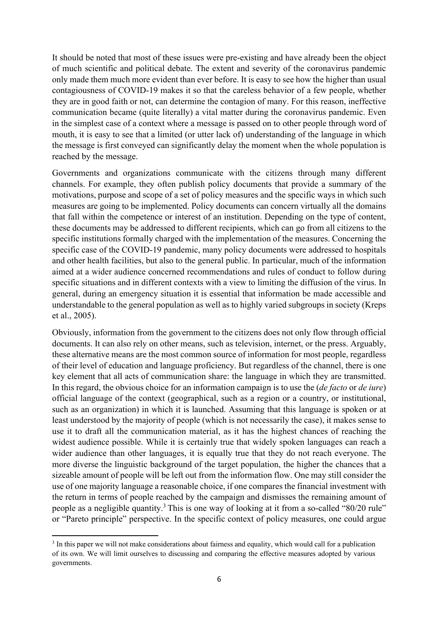It should be noted that most of these issues were pre-existing and have already been the object of much scientific and political debate. The extent and severity of the coronavirus pandemic only made them much more evident than ever before. It is easy to see how the higher than usual contagiousness of COVID-19 makes it so that the careless behavior of a few people, whether they are in good faith or not, can determine the contagion of many. For this reason, ineffective communication became (quite literally) a vital matter during the coronavirus pandemic. Even in the simplest case of a context where a message is passed on to other people through word of mouth, it is easy to see that a limited (or utter lack of) understanding of the language in which the message is first conveyed can significantly delay the moment when the whole population is reached by the message.

Governments and organizations communicate with the citizens through many different channels. For example, they often publish policy documents that provide a summary of the motivations, purpose and scope of a set of policy measures and the specific ways in which such measures are going to be implemented. Policy documents can concern virtually all the domains that fall within the competence or interest of an institution. Depending on the type of content, these documents may be addressed to different recipients, which can go from all citizens to the specific institutions formally charged with the implementation of the measures. Concerning the specific case of the COVID-19 pandemic, many policy documents were addressed to hospitals and other health facilities, but also to the general public. In particular, much of the information aimed at a wider audience concerned recommendations and rules of conduct to follow during specific situations and in different contexts with a view to limiting the diffusion of the virus. In general, during an emergency situation it is essential that information be made accessible and understandable to the general population as well as to highly varied subgroups in society (Kreps et al., 2005).

Obviously, information from the government to the citizens does not only flow through official documents. It can also rely on other means, such as television, internet, or the press. Arguably, these alternative means are the most common source of information for most people, regardless of their level of education and language proficiency. But regardless of the channel, there is one key element that all acts of communication share: the language in which they are transmitted. In this regard, the obvious choice for an information campaign is to use the (*de facto* or *de iure*) official language of the context (geographical, such as a region or a country, or institutional, such as an organization) in which it is launched. Assuming that this language is spoken or at least understood by the majority of people (which is not necessarily the case), it makes sense to use it to draft all the communication material, as it has the highest chances of reaching the widest audience possible. While it is certainly true that widely spoken languages can reach a wider audience than other languages, it is equally true that they do not reach everyone. The more diverse the linguistic background of the target population, the higher the chances that a sizeable amount of people will be left out from the information flow. One may still consider the use of one majority language a reasonable choice, if one compares the financial investment with the return in terms of people reached by the campaign and dismisses the remaining amount of people as a negligible quantity.3 This is one way of looking at it from a so-called "80/20 rule" or "Pareto principle" perspective. In the specific context of policy measures, one could argue

<sup>&</sup>lt;sup>3</sup> In this paper we will not make considerations about fairness and equality, which would call for a publication of its own. We will limit ourselves to discussing and comparing the effective measures adopted by various governments.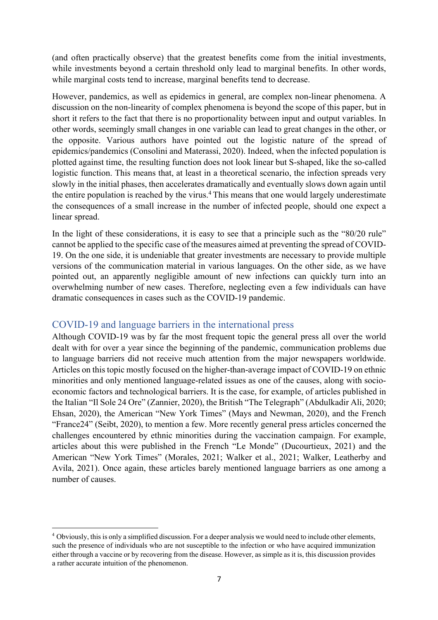(and often practically observe) that the greatest benefits come from the initial investments, while investments beyond a certain threshold only lead to marginal benefits. In other words, while marginal costs tend to increase, marginal benefits tend to decrease.

However, pandemics, as well as epidemics in general, are complex non-linear phenomena. A discussion on the non-linearity of complex phenomena is beyond the scope of this paper, but in short it refers to the fact that there is no proportionality between input and output variables. In other words, seemingly small changes in one variable can lead to great changes in the other, or the opposite. Various authors have pointed out the logistic nature of the spread of epidemics/pandemics (Consolini and Materassi, 2020). Indeed, when the infected population is plotted against time, the resulting function does not look linear but S-shaped, like the so-called logistic function. This means that, at least in a theoretical scenario, the infection spreads very slowly in the initial phases, then accelerates dramatically and eventually slows down again until the entire population is reached by the virus.<sup>4</sup> This means that one would largely underestimate the consequences of a small increase in the number of infected people, should one expect a linear spread.

In the light of these considerations, it is easy to see that a principle such as the "80/20 rule" cannot be applied to the specific case of the measures aimed at preventing the spread of COVID-19. On the one side, it is undeniable that greater investments are necessary to provide multiple versions of the communication material in various languages. On the other side, as we have pointed out, an apparently negligible amount of new infections can quickly turn into an overwhelming number of new cases. Therefore, neglecting even a few individuals can have dramatic consequences in cases such as the COVID-19 pandemic.

#### COVID-19 and language barriers in the international press

Although COVID-19 was by far the most frequent topic the general press all over the world dealt with for over a year since the beginning of the pandemic, communication problems due to language barriers did not receive much attention from the major newspapers worldwide. Articles on this topic mostly focused on the higher-than-average impact of COVID-19 on ethnic minorities and only mentioned language-related issues as one of the causes, along with socioeconomic factors and technological barriers. It is the case, for example, of articles published in the Italian "Il Sole 24 Ore" (Zannier, 2020), the British "The Telegraph" (Abdulkadir Ali, 2020; Ehsan, 2020), the American "New York Times" (Mays and Newman, 2020), and the French "France24" (Seibt, 2020), to mention a few. More recently general press articles concerned the challenges encountered by ethnic minorities during the vaccination campaign. For example, articles about this were published in the French "Le Monde" (Ducourtieux, 2021) and the American "New York Times" (Morales, 2021; Walker et al., 2021; Walker, Leatherby and Avila, 2021). Once again, these articles barely mentioned language barriers as one among a number of causes.

<sup>4</sup> Obviously, this is only a simplified discussion. For a deeper analysis we would need to include other elements, such the presence of individuals who are not susceptible to the infection or who have acquired immunization either through a vaccine or by recovering from the disease. However, as simple as it is, this discussion provides a rather accurate intuition of the phenomenon.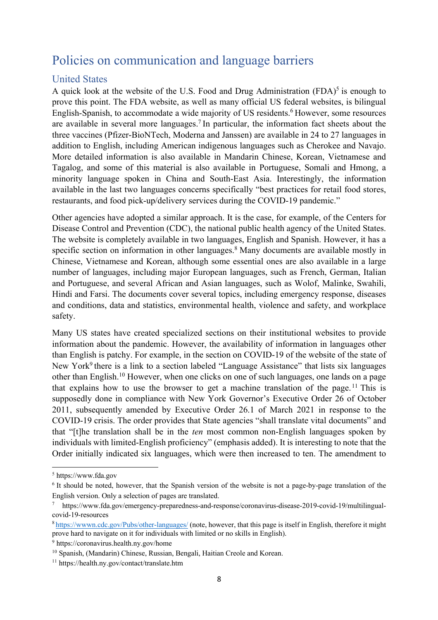# Policies on communication and language barriers

#### United States

A quick look at the website of the U.S. Food and Drug Administration  $(FDA)^5$  is enough to prove this point. The FDA website, as well as many official US federal websites, is bilingual English-Spanish, to accommodate a wide majority of US residents.<sup>6</sup> However, some resources are available in several more languages.<sup>7</sup> In particular, the information fact sheets about the three vaccines (Pfizer-BioNTech, Moderna and Janssen) are available in 24 to 27 languages in addition to English, including American indigenous languages such as Cherokee and Navajo. More detailed information is also available in Mandarin Chinese, Korean, Vietnamese and Tagalog, and some of this material is also available in Portuguese, Somali and Hmong, a minority language spoken in China and South-East Asia. Interestingly, the information available in the last two languages concerns specifically "best practices for retail food stores, restaurants, and food pick-up/delivery services during the COVID-19 pandemic."

Other agencies have adopted a similar approach. It is the case, for example, of the Centers for Disease Control and Prevention (CDC), the national public health agency of the United States. The website is completely available in two languages, English and Spanish. However, it has a specific section on information in other languages.<sup>8</sup> Many documents are available mostly in Chinese, Vietnamese and Korean, although some essential ones are also available in a large number of languages, including major European languages, such as French, German, Italian and Portuguese, and several African and Asian languages, such as Wolof, Malinke, Swahili, Hindi and Farsi. The documents cover several topics, including emergency response, diseases and conditions, data and statistics, environmental health, violence and safety, and workplace safety.

Many US states have created specialized sections on their institutional websites to provide information about the pandemic. However, the availability of information in languages other than English is patchy. For example, in the section on COVID-19 of the website of the state of New York<sup>9</sup> there is a link to a section labeled "Language Assistance" that lists six languages other than English. <sup>10</sup> However, when one clicks on one of such languages, one lands on a page that explains how to use the browser to get a machine translation of the page.<sup>11</sup> This is supposedly done in compliance with New York Governor's Executive Order 26 of October 2011, subsequently amended by Executive Order 26.1 of March 2021 in response to the COVID-19 crisis. The order provides that State agencies "shall translate vital documents" and that "[t]he translation shall be in the *ten* most common non-English languages spoken by individuals with limited-English proficiency" (emphasis added). It is interesting to note that the Order initially indicated six languages, which were then increased to ten. The amendment to

<sup>5</sup> https://www.fda.gov

<sup>&</sup>lt;sup>6</sup> It should be noted, however, that the Spanish version of the website is not a page-by-page translation of the English version. Only a selection of pages are translated.

<sup>7</sup> https://www.fda.gov/emergency-preparedness-and-response/coronavirus-disease-2019-covid-19/multilingualcovid-19-resources

<sup>8</sup> https://wwwn.cdc.gov/Pubs/other-languages/ (note, however, that this page is itself in English, therefore it might prove hard to navigate on it for individuals with limited or no skills in English).

<sup>9</sup> https://coronavirus.health.ny.gov/home

<sup>10</sup> Spanish, (Mandarin) Chinese, Russian, Bengali, Haitian Creole and Korean.

<sup>11</sup> https://health.ny.gov/contact/translate.htm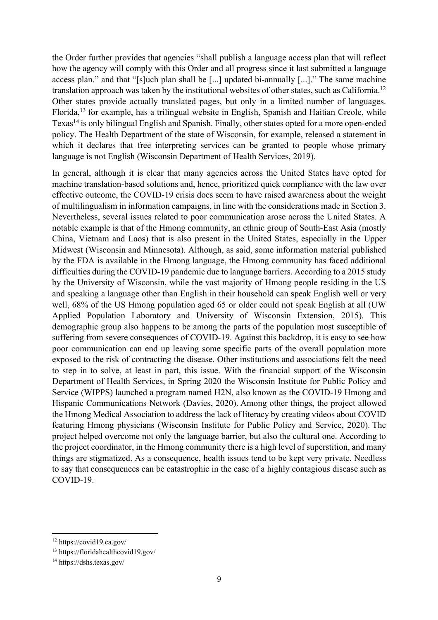the Order further provides that agencies "shall publish a language access plan that will reflect how the agency will comply with this Order and all progress since it last submitted a language access plan." and that "[s]uch plan shall be [...] updated bi-annually [...]." The same machine translation approach was taken by the institutional websites of other states, such as California.12 Other states provide actually translated pages, but only in a limited number of languages. Florida,13 for example, has a trilingual website in English, Spanish and Haitian Creole, while Texas14 is only bilingual English and Spanish. Finally, other states opted for a more open-ended policy. The Health Department of the state of Wisconsin, for example, released a statement in which it declares that free interpreting services can be granted to people whose primary language is not English (Wisconsin Department of Health Services, 2019).

In general, although it is clear that many agencies across the United States have opted for machine translation-based solutions and, hence, prioritized quick compliance with the law over effective outcome, the COVID-19 crisis does seem to have raised awareness about the weight of multilingualism in information campaigns, in line with the considerations made in Section 3. Nevertheless, several issues related to poor communication arose across the United States. A notable example is that of the Hmong community, an ethnic group of South-East Asia (mostly China, Vietnam and Laos) that is also present in the United States, especially in the Upper Midwest (Wisconsin and Minnesota). Although, as said, some information material published by the FDA is available in the Hmong language, the Hmong community has faced additional difficulties during the COVID-19 pandemic due to language barriers. According to a 2015 study by the University of Wisconsin, while the vast majority of Hmong people residing in the US and speaking a language other than English in their household can speak English well or very well, 68% of the US Hmong population aged 65 or older could not speak English at all (UW Applied Population Laboratory and University of Wisconsin Extension, 2015). This demographic group also happens to be among the parts of the population most susceptible of suffering from severe consequences of COVID-19. Against this backdrop, it is easy to see how poor communication can end up leaving some specific parts of the overall population more exposed to the risk of contracting the disease. Other institutions and associations felt the need to step in to solve, at least in part, this issue. With the financial support of the Wisconsin Department of Health Services, in Spring 2020 the Wisconsin Institute for Public Policy and Service (WIPPS) launched a program named H2N, also known as the COVID-19 Hmong and Hispanic Communications Network (Davies, 2020). Among other things, the project allowed the Hmong Medical Association to address the lack of literacy by creating videos about COVID featuring Hmong physicians (Wisconsin Institute for Public Policy and Service, 2020). The project helped overcome not only the language barrier, but also the cultural one. According to the project coordinator, in the Hmong community there is a high level of superstition, and many things are stigmatized. As a consequence, health issues tend to be kept very private. Needless to say that consequences can be catastrophic in the case of a highly contagious disease such as COVID-19.

<sup>12</sup> https://covid19.ca.gov/

<sup>13</sup> https://floridahealthcovid19.gov/

<sup>14</sup> https://dshs.texas.gov/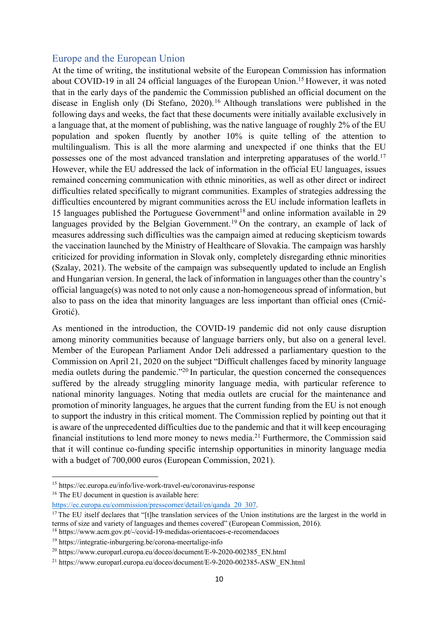#### Europe and the European Union

At the time of writing, the institutional website of the European Commission has information about COVID-19 in all 24 official languages of the European Union.<sup>15</sup> However, it was noted that in the early days of the pandemic the Commission published an official document on the disease in English only (Di Stefano, 2020). <sup>16</sup> Although translations were published in the following days and weeks, the fact that these documents were initially available exclusively in a language that, at the moment of publishing, was the native language of roughly 2% of the EU population and spoken fluently by another 10% is quite telling of the attention to multilingualism. This is all the more alarming and unexpected if one thinks that the EU possesses one of the most advanced translation and interpreting apparatuses of the world.17 However, while the EU addressed the lack of information in the official EU languages, issues remained concerning communication with ethnic minorities, as well as other direct or indirect difficulties related specifically to migrant communities. Examples of strategies addressing the difficulties encountered by migrant communities across the EU include information leaflets in 15 languages published the Portuguese Government<sup>18</sup> and online information available in 29 languages provided by the Belgian Government.<sup>19</sup> On the contrary, an example of lack of measures addressing such difficulties was the campaign aimed at reducing skepticism towards the vaccination launched by the Ministry of Healthcare of Slovakia. The campaign was harshly criticized for providing information in Slovak only, completely disregarding ethnic minorities (Szalay, 2021). The website of the campaign was subsequently updated to include an English and Hungarian version. In general, the lack of information in languages other than the country's official language(s) was noted to not only cause a non-homogeneous spread of information, but also to pass on the idea that minority languages are less important than official ones (Crnić-Grotić).

As mentioned in the introduction, the COVID-19 pandemic did not only cause disruption among minority communities because of language barriers only, but also on a general level. Member of the European Parliament Andor Deli addressed a parliamentary question to the Commission on April 21, 2020 on the subject "Difficult challenges faced by minority language media outlets during the pandemic."20 In particular, the question concerned the consequences suffered by the already struggling minority language media, with particular reference to national minority languages. Noting that media outlets are crucial for the maintenance and promotion of minority languages, he argues that the current funding from the EU is not enough to support the industry in this critical moment. The Commission replied by pointing out that it is aware of the unprecedented difficulties due to the pandemic and that it will keep encouraging financial institutions to lend more money to news media.21 Furthermore, the Commission said that it will continue co-funding specific internship opportunities in minority language media with a budget of 700,000 euros (European Commission, 2021).

<sup>15</sup> https://ec.europa.eu/info/live-work-travel-eu/coronavirus-response

<sup>&</sup>lt;sup>16</sup> The EU document in question is available here:

https://ec.europa.eu/commission/presscorner/detail/en/qanda\_20\_307.

<sup>&</sup>lt;sup>17</sup> The EU itself declares that "[t]he translation services of the Union institutions are the largest in the world in terms of size and variety of languages and themes covered" (European Commission, 2016).

<sup>18</sup> https://www.acm.gov.pt/-/covid-19-medidas-orientacoes-e-recomendacoes

<sup>19</sup> https://integratie-inburgering.be/corona-meertalige-info

<sup>20</sup> https://www.europarl.europa.eu/doceo/document/E-9-2020-002385\_EN.html

<sup>&</sup>lt;sup>21</sup> https://www.europarl.europa.eu/doceo/document/E-9-2020-002385-ASW\_EN.html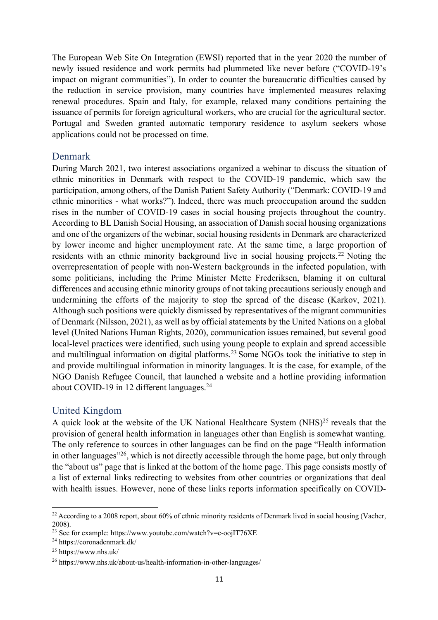The European Web Site On Integration (EWSI) reported that in the year 2020 the number of newly issued residence and work permits had plummeted like never before ("COVID-19's impact on migrant communities"). In order to counter the bureaucratic difficulties caused by the reduction in service provision, many countries have implemented measures relaxing renewal procedures. Spain and Italy, for example, relaxed many conditions pertaining the issuance of permits for foreign agricultural workers, who are crucial for the agricultural sector. Portugal and Sweden granted automatic temporary residence to asylum seekers whose applications could not be processed on time.

#### Denmark

During March 2021, two interest associations organized a webinar to discuss the situation of ethnic minorities in Denmark with respect to the COVID-19 pandemic, which saw the participation, among others, of the Danish Patient Safety Authority ("Denmark: COVID-19 and ethnic minorities - what works?"). Indeed, there was much preoccupation around the sudden rises in the number of COVID-19 cases in social housing projects throughout the country. According to BL Danish Social Housing, an association of Danish social housing organizations and one of the organizers of the webinar, social housing residents in Denmark are characterized by lower income and higher unemployment rate. At the same time, a large proportion of residents with an ethnic minority background live in social housing projects.<sup>22</sup> Noting the overrepresentation of people with non-Western backgrounds in the infected population, with some politicians, including the Prime Minister Mette Frederiksen, blaming it on cultural differences and accusing ethnic minority groups of not taking precautions seriously enough and undermining the efforts of the majority to stop the spread of the disease (Karkov, 2021). Although such positions were quickly dismissed by representatives of the migrant communities of Denmark (Nilsson, 2021), as well as by official statements by the United Nations on a global level (United Nations Human Rights, 2020), communication issues remained, but several good local-level practices were identified, such using young people to explain and spread accessible and multilingual information on digital platforms.<sup>23</sup> Some NGOs took the initiative to step in and provide multilingual information in minority languages. It is the case, for example, of the NGO Danish Refugee Council, that launched a website and a hotline providing information about COVID-19 in 12 different languages.<sup>24</sup>

#### United Kingdom

A quick look at the website of the UK National Healthcare System (NHS)<sup>25</sup> reveals that the provision of general health information in languages other than English is somewhat wanting. The only reference to sources in other languages can be find on the page "Health information in other languages"26, which is not directly accessible through the home page, but only through the "about us" page that is linked at the bottom of the home page. This page consists mostly of a list of external links redirecting to websites from other countries or organizations that deal with health issues. However, none of these links reports information specifically on COVID-

<sup>&</sup>lt;sup>22</sup> According to a 2008 report, about 60% of ethnic minority residents of Denmark lived in social housing (Vacher, 2008).

<sup>&</sup>lt;sup>23</sup> See for example: https://www.youtube.com/watch?v=e-oojIT76XE

<sup>24</sup> https://coronadenmark.dk/

<sup>25</sup> https://www.nhs.uk/

<sup>26</sup> https://www.nhs.uk/about-us/health-information-in-other-languages/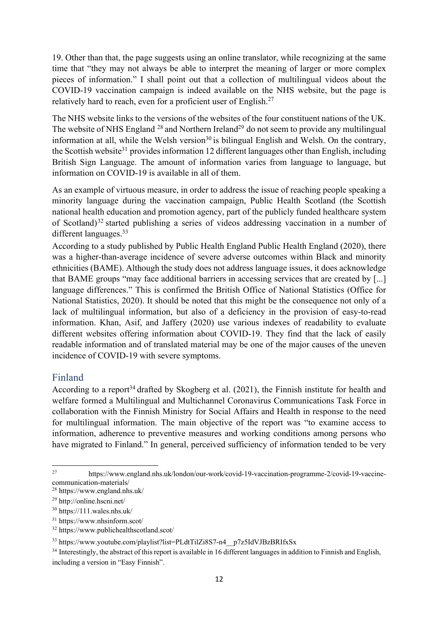19. Other than that, the page suggests using an online translator, while recognizing at the same time that "they may not always be able to interpret the meaning of larger or more complex pieces of information." I shall point out that a collection of multilingual videos about the COVID-19 vaccination campaign is indeed available on the NHS website, but the page is relatively hard to reach, even for a proficient user of English.27

The NHS website links to the versions of the websites of the four constituent nations of the UK. The website of NHS England  $^{28}$  and Northern Ireland<sup>29</sup> do not seem to provide any multilingual information at all, while the Welsh version<sup>30</sup> is bilingual English and Welsh. On the contrary, the Scottish website<sup>31</sup> provides information 12 different languages other than English, including British Sign Language. The amount of information varies from language to language, but information on COVID-19 is available in all of them.

As an example of virtuous measure, in order to address the issue of reaching people speaking a minority language during the vaccination campaign, Public Health Scotland (the Scottish national health education and promotion agency, part of the publicly funded healthcare system of Scotland)<sup>32</sup> started publishing a series of videos addressing vaccination in a number of different languages.33

According to a study published by Public Health England Public Health England (2020), there was a higher-than-average incidence of severe adverse outcomes within Black and minority ethnicities (BAME). Although the study does not address language issues, it does acknowledge that BAME groups "may face additional barriers in accessing services that are created by [...] language differences." This is confirmed the British Office of National Statistics (Office for National Statistics, 2020). It should be noted that this might be the consequence not only of a lack of multilingual information, but also of a deficiency in the provision of easy-to-read information. Khan, Asif, and Jaffery (2020) use various indexes of readability to evaluate different websites offering information about COVID-19. They find that the lack of easily readable information and of translated material may be one of the major causes of the uneven incidence of COVID-19 with severe symptoms.

#### Finland

According to a report<sup>34</sup> drafted by Skogberg et al.  $(2021)$ , the Finnish institute for health and welfare formed a Multilingual and Multichannel Coronavirus Communications Task Force in collaboration with the Finnish Ministry for Social Affairs and Health in response to the need for multilingual information. The main objective of the report was "to examine access to information, adherence to preventive measures and working conditions among persons who have migrated to Finland." In general, perceived sufficiency of information tended to be very

<sup>27</sup> https://www.england.nhs.uk/london/our-work/covid-19-vaccination-programme-2/covid-19-vaccinecommunication-materials/

<sup>28</sup> https://www.england.nhs.uk/

<sup>29</sup> http://online.hscni.net/

<sup>30</sup> https://111.wales.nhs.uk/

<sup>31</sup> https://www.nhsinform.scot/

<sup>32</sup> https://www.publichealthscotland.scot/

<sup>33</sup> https://www.youtube.com/playlist?list=PLdtTilZi8S7-n4\_\_p7z5IdVJBzBRIfxSx

<sup>&</sup>lt;sup>34</sup> Interestingly, the abstract of this report is available in 16 different languages in addition to Finnish and English, including a version in "Easy Finnish".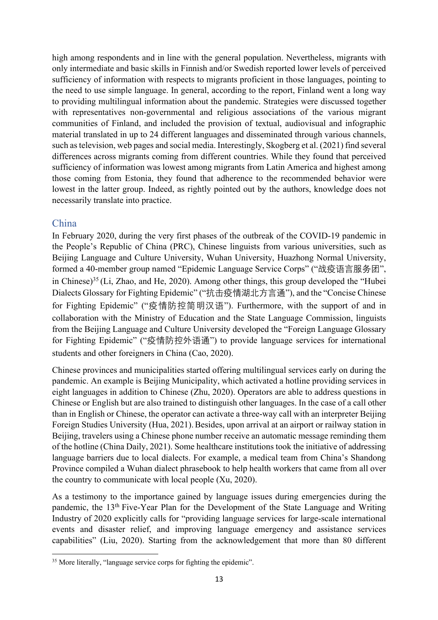high among respondents and in line with the general population. Nevertheless, migrants with only intermediate and basic skills in Finnish and/or Swedish reported lower levels of perceived sufficiency of information with respects to migrants proficient in those languages, pointing to the need to use simple language. In general, according to the report, Finland went a long way to providing multilingual information about the pandemic. Strategies were discussed together with representatives non-governmental and religious associations of the various migrant communities of Finland, and included the provision of textual, audiovisual and infographic material translated in up to 24 different languages and disseminated through various channels, such as television, web pages and social media. Interestingly, Skogberg et al. (2021) find several differences across migrants coming from different countries. While they found that perceived sufficiency of information was lowest among migrants from Latin America and highest among those coming from Estonia, they found that adherence to the recommended behavior were lowest in the latter group. Indeed, as rightly pointed out by the authors, knowledge does not necessarily translate into practice.

#### China

In February 2020, during the very first phases of the outbreak of the COVID-19 pandemic in the People's Republic of China (PRC), Chinese linguists from various universities, such as Beijing Language and Culture University, Wuhan University, Huazhong Normal University, formed a 40-member group named "Epidemic Language Service Corps" ("战疫语言服务团", in Chinese)<sup>35</sup> (Li, Zhao, and He, 2020). Among other things, this group developed the "Hubei Dialects Glossary for Fighting Epidemic" ("抗击疫情湖北方言通"), and the "Concise Chinese for Fighting Epidemic" ("疫情防控简明汉语"). Furthermore, with the support of and in collaboration with the Ministry of Education and the State Language Commission, linguists from the Beijing Language and Culture University developed the "Foreign Language Glossary for Fighting Epidemic" ("疫情防控外语通") to provide language services for international students and other foreigners in China (Cao, 2020).

Chinese provinces and municipalities started offering multilingual services early on during the pandemic. An example is Beijing Municipality, which activated a hotline providing services in eight languages in addition to Chinese (Zhu, 2020). Operators are able to address questions in Chinese or English but are also trained to distinguish other languages. In the case of a call other than in English or Chinese, the operator can activate a three-way call with an interpreter Beijing Foreign Studies University (Hua, 2021). Besides, upon arrival at an airport or railway station in Beijing, travelers using a Chinese phone number receive an automatic message reminding them of the hotline (China Daily, 2021). Some healthcare institutions took the initiative of addressing language barriers due to local dialects. For example, a medical team from China's Shandong Province compiled a Wuhan dialect phrasebook to help health workers that came from all over the country to communicate with local people (Xu, 2020).

As a testimony to the importance gained by language issues during emergencies during the pandemic, the 13th Five-Year Plan for the Development of the State Language and Writing Industry of 2020 explicitly calls for "providing language services for large-scale international events and disaster relief, and improving language emergency and assistance services capabilities" (Liu, 2020). Starting from the acknowledgement that more than 80 different

<sup>&</sup>lt;sup>35</sup> More literally, "language service corps for fighting the epidemic".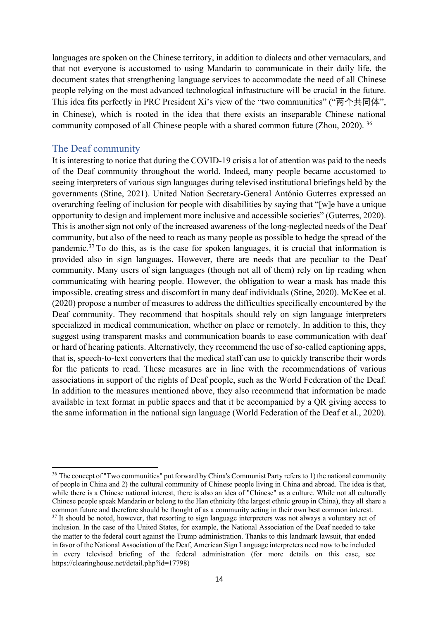languages are spoken on the Chinese territory, in addition to dialects and other vernaculars, and that not everyone is accustomed to using Mandarin to communicate in their daily life, the document states that strengthening language services to accommodate the need of all Chinese people relying on the most advanced technological infrastructure will be crucial in the future. This idea fits perfectly in PRC President Xi's view of the "two communities" ("两个共同体", in Chinese), which is rooted in the idea that there exists an inseparable Chinese national community composed of all Chinese people with a shared common future (Zhou, 2020). <sup>36</sup>

#### The Deaf community

It is interesting to notice that during the COVID-19 crisis a lot of attention was paid to the needs of the Deaf community throughout the world. Indeed, many people became accustomed to seeing interpreters of various sign languages during televised institutional briefings held by the governments (Stine, 2021). United Nation Secretary-General António Guterres expressed an overarching feeling of inclusion for people with disabilities by saying that "[w]e have a unique opportunity to design and implement more inclusive and accessible societies" (Guterres, 2020). This is another sign not only of the increased awareness of the long-neglected needs of the Deaf community, but also of the need to reach as many people as possible to hedge the spread of the pandemic.37 To do this, as is the case for spoken languages, it is crucial that information is provided also in sign languages. However, there are needs that are peculiar to the Deaf community. Many users of sign languages (though not all of them) rely on lip reading when communicating with hearing people. However, the obligation to wear a mask has made this impossible, creating stress and discomfort in many deaf individuals (Stine, 2020). McKee et al. (2020) propose a number of measures to address the difficulties specifically encountered by the Deaf community. They recommend that hospitals should rely on sign language interpreters specialized in medical communication, whether on place or remotely. In addition to this, they suggest using transparent masks and communication boards to ease communication with deaf or hard of hearing patients. Alternatively, they recommend the use of so-called captioning apps, that is, speech-to-text converters that the medical staff can use to quickly transcribe their words for the patients to read. These measures are in line with the recommendations of various associations in support of the rights of Deaf people, such as the World Federation of the Deaf. In addition to the measures mentioned above, they also recommend that information be made available in text format in public spaces and that it be accompanied by a QR giving access to the same information in the national sign language (World Federation of the Deaf et al., 2020).

<sup>&</sup>lt;sup>36</sup> The concept of "Two communities" put forward by China's Communist Party refers to 1) the national community of people in China and 2) the cultural community of Chinese people living in China and abroad. The idea is that, while there is a Chinese national interest, there is also an idea of "Chinese" as a culture. While not all culturally Chinese people speak Mandarin or belong to the Han ethnicity (the largest ethnic group in China), they all share a common future and therefore should be thought of as a community acting in their own best common interest. <sup>37</sup> It should be noted, however, that resorting to sign language interpreters was not always a voluntary act of inclusion. In the case of the United States, for example, the National Association of the Deaf needed to take the matter to the federal court against the Trump administration. Thanks to this landmark lawsuit, that ended in favor of the National Association of the Deaf, American Sign Language interpreters need now to be included in every televised briefing of the federal administration (for more details on this case, see https://clearinghouse.net/detail.php?id=17798)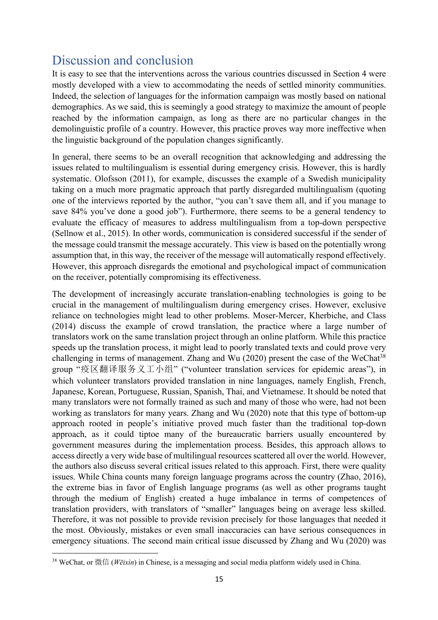# Discussion and conclusion

It is easy to see that the interventions across the various countries discussed in Section 4 were mostly developed with a view to accommodating the needs of settled minority communities. Indeed, the selection of languages for the information campaign was mostly based on national demographics. As we said, this is seemingly a good strategy to maximize the amount of people reached by the information campaign, as long as there are no particular changes in the demolinguistic profile of a country. However, this practice proves way more ineffective when the linguistic background of the population changes significantly.

In general, there seems to be an overall recognition that acknowledging and addressing the issues related to multilingualism is essential during emergency crisis. However, this is hardly systematic. Olofsson (2011), for example, discusses the example of a Swedish municipality taking on a much more pragmatic approach that partly disregarded multilingualism (quoting one of the interviews reported by the author, "you can't save them all, and if you manage to save 84% you've done a good job"). Furthermore, there seems to be a general tendency to evaluate the efficacy of measures to address multilingualism from a top-down perspective (Sellnow et al., 2015). In other words, communication is considered successful if the sender of the message could transmit the message accurately. This view is based on the potentially wrong assumption that, in this way, the receiver of the message will automatically respond effectively. However, this approach disregards the emotional and psychological impact of communication on the receiver, potentially compromising its effectiveness.

The development of increasingly accurate translation-enabling technologies is going to be crucial in the management of multilingualism during emergency crises. However, exclusive reliance on technologies might lead to other problems. Moser-Mercer, Kherbiche, and Class (2014) discuss the example of crowd translation, the practice where a large number of translators work on the same translation project through an online platform. While this practice speeds up the translation process, it might lead to poorly translated texts and could prove very challenging in terms of management. Zhang and Wu  $(2020)$  present the case of the WeChat<sup>38</sup> group "疫区翻译服务义工小组" ("volunteer translation services for epidemic areas"), in which volunteer translators provided translation in nine languages, namely English, French, Japanese, Korean, Portuguese, Russian, Spanish, Thai, and Vietnamese. It should be noted that many translators were not formally trained as such and many of those who were, had not been working as translators for many years. Zhang and Wu (2020) note that this type of bottom-up approach rooted in people's initiative proved much faster than the traditional top-down approach, as it could tiptoe many of the bureaucratic barriers usually encountered by government measures during the implementation process. Besides, this approach allows to access directly a very wide base of multilingual resources scattered all over the world. However, the authors also discuss several critical issues related to this approach. First, there were quality issues. While China counts many foreign language programs across the country (Zhao, 2016), the extreme bias in favor of English language programs (as well as other programs taught through the medium of English) created a huge imbalance in terms of competences of translation providers, with translators of "smaller" languages being on average less skilled. Therefore, it was not possible to provide revision precisely for those languages that needed it the most. Obviously, mistakes or even small inaccuracies can have serious consequences in emergency situations. The second main critical issue discussed by Zhang and Wu (2020) was

<sup>38</sup> WeChat, or 微信 (*Wēixìn*) in Chinese, is a messaging and social media platform widely used in China.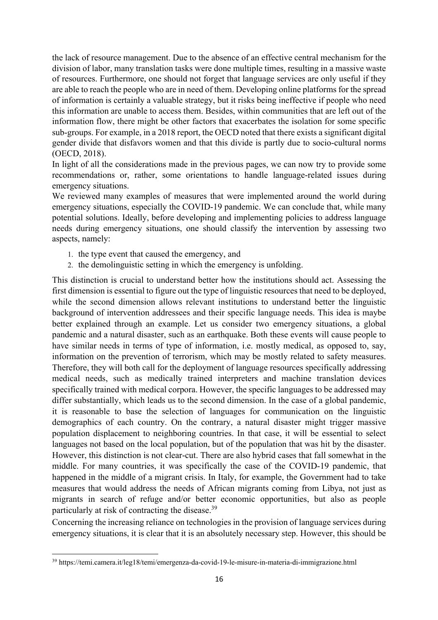the lack of resource management. Due to the absence of an effective central mechanism for the division of labor, many translation tasks were done multiple times, resulting in a massive waste of resources. Furthermore, one should not forget that language services are only useful if they are able to reach the people who are in need of them. Developing online platforms for the spread of information is certainly a valuable strategy, but it risks being ineffective if people who need this information are unable to access them. Besides, within communities that are left out of the information flow, there might be other factors that exacerbates the isolation for some specific sub-groups. For example, in a 2018 report, the OECD noted that there exists a significant digital gender divide that disfavors women and that this divide is partly due to socio-cultural norms (OECD, 2018).

In light of all the considerations made in the previous pages, we can now try to provide some recommendations or, rather, some orientations to handle language-related issues during emergency situations.

We reviewed many examples of measures that were implemented around the world during emergency situations, especially the COVID-19 pandemic. We can conclude that, while many potential solutions. Ideally, before developing and implementing policies to address language needs during emergency situations, one should classify the intervention by assessing two aspects, namely:

- 1. the type event that caused the emergency, and
- 2. the demolinguistic setting in which the emergency is unfolding.

This distinction is crucial to understand better how the institutions should act. Assessing the first dimension is essential to figure out the type of linguistic resources that need to be deployed, while the second dimension allows relevant institutions to understand better the linguistic background of intervention addressees and their specific language needs. This idea is maybe better explained through an example. Let us consider two emergency situations, a global pandemic and a natural disaster, such as an earthquake. Both these events will cause people to have similar needs in terms of type of information, i.e. mostly medical, as opposed to, say, information on the prevention of terrorism, which may be mostly related to safety measures. Therefore, they will both call for the deployment of language resources specifically addressing medical needs, such as medically trained interpreters and machine translation devices specifically trained with medical corpora. However, the specific languages to be addressed may differ substantially, which leads us to the second dimension. In the case of a global pandemic, it is reasonable to base the selection of languages for communication on the linguistic demographics of each country. On the contrary, a natural disaster might trigger massive population displacement to neighboring countries. In that case, it will be essential to select languages not based on the local population, but of the population that was hit by the disaster. However, this distinction is not clear-cut. There are also hybrid cases that fall somewhat in the middle. For many countries, it was specifically the case of the COVID-19 pandemic, that happened in the middle of a migrant crisis. In Italy, for example, the Government had to take measures that would address the needs of African migrants coming from Libya, not just as migrants in search of refuge and/or better economic opportunities, but also as people particularly at risk of contracting the disease.39

Concerning the increasing reliance on technologies in the provision of language services during emergency situations, it is clear that it is an absolutely necessary step. However, this should be

<sup>39</sup> https://temi.camera.it/leg18/temi/emergenza-da-covid-19-le-misure-in-materia-di-immigrazione.html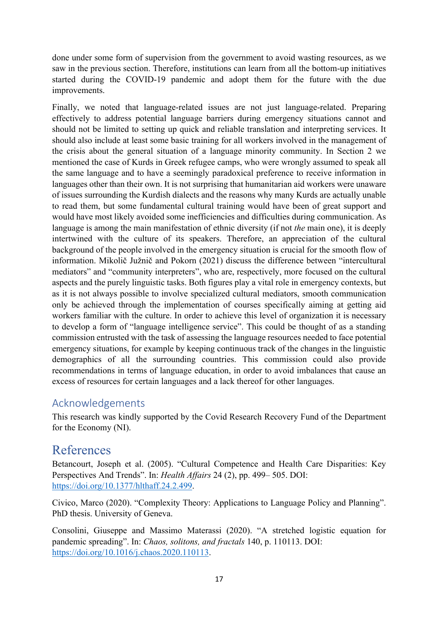done under some form of supervision from the government to avoid wasting resources, as we saw in the previous section. Therefore, institutions can learn from all the bottom-up initiatives started during the COVID-19 pandemic and adopt them for the future with the due improvements.

Finally, we noted that language-related issues are not just language-related. Preparing effectively to address potential language barriers during emergency situations cannot and should not be limited to setting up quick and reliable translation and interpreting services. It should also include at least some basic training for all workers involved in the management of the crisis about the general situation of a language minority community. In Section 2 we mentioned the case of Kurds in Greek refugee camps, who were wrongly assumed to speak all the same language and to have a seemingly paradoxical preference to receive information in languages other than their own. It is not surprising that humanitarian aid workers were unaware of issues surrounding the Kurdish dialects and the reasons why many Kurds are actually unable to read them, but some fundamental cultural training would have been of great support and would have most likely avoided some inefficiencies and difficulties during communication. As language is among the main manifestation of ethnic diversity (if not *the* main one), it is deeply intertwined with the culture of its speakers. Therefore, an appreciation of the cultural background of the people involved in the emergency situation is crucial for the smooth flow of information. Mikolič Južnič and Pokorn (2021) discuss the difference between "intercultural mediators" and "community interpreters", who are, respectively, more focused on the cultural aspects and the purely linguistic tasks. Both figures play a vital role in emergency contexts, but as it is not always possible to involve specialized cultural mediators, smooth communication only be achieved through the implementation of courses specifically aiming at getting aid workers familiar with the culture. In order to achieve this level of organization it is necessary to develop a form of "language intelligence service". This could be thought of as a standing commission entrusted with the task of assessing the language resources needed to face potential emergency situations, for example by keeping continuous track of the changes in the linguistic demographics of all the surrounding countries. This commission could also provide recommendations in terms of language education, in order to avoid imbalances that cause an excess of resources for certain languages and a lack thereof for other languages.

### Acknowledgements

This research was kindly supported by the Covid Research Recovery Fund of the Department for the Economy (NI).

## References

Betancourt, Joseph et al. (2005). "Cultural Competence and Health Care Disparities: Key Perspectives And Trends". In: *Health Affairs* 24 (2), pp. 499– 505. DOI: https://doi.org/10.1377/hlthaff.24.2.499.

Civico, Marco (2020). "Complexity Theory: Applications to Language Policy and Planning". PhD thesis. University of Geneva.

Consolini, Giuseppe and Massimo Materassi (2020). "A stretched logistic equation for pandemic spreading". In: *Chaos, solitons, and fractals* 140, p. 110113. DOI: https://doi.org/10.1016/j.chaos.2020.110113.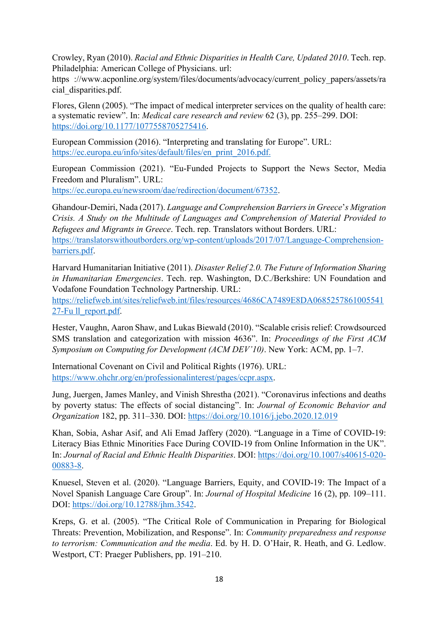Crowley, Ryan (2010). *Racial and Ethnic Disparities in Health Care, Updated 2010*. Tech. rep. Philadelphia: American College of Physicians. url:

https ://www.acponline.org/system/files/documents/advocacy/current\_policy\_papers/assets/ra cial\_disparities.pdf.

Flores, Glenn (2005). "The impact of medical interpreter services on the quality of health care: a systematic review". In: *Medical care research and review* 62 (3), pp. 255–299. DOI: https://doi.org/10.1177/1077558705275416.

European Commission (2016). "Interpreting and translating for Europe". URL: https://ec.europa.eu/info/sites/default/files/en\_print\_2016.pdf.

European Commission (2021). "Eu-Funded Projects to Support the News Sector, Media Freedom and Pluralism". URL:

https://ec.europa.eu/newsroom/dae/redirection/document/67352.

Ghandour-Demiri, Nada (2017). *Language and Comprehension Barriers in Greece*'*s Migration Crisis. A Study on the Multitude of Languages and Comprehension of Material Provided to Refugees and Migrants in Greece*. Tech. rep. Translators without Borders. URL: https://translatorswithoutborders.org/wp-content/uploads/2017/07/Language-Comprehensionbarriers.pdf.

Harvard Humanitarian Initiative (2011). *Disaster Relief 2.0. The Future of Information Sharing in Humanitarian Emergencies*. Tech. rep. Washington, D.C./Berkshire: UN Foundation and Vodafone Foundation Technology Partnership. URL:

https://reliefweb.int/sites/reliefweb.int/files/resources/4686CA7489E8DA0685257861005541 27-Fu ll\_report.pdf.

Hester, Vaughn, Aaron Shaw, and Lukas Biewald (2010). "Scalable crisis relief: Crowdsourced SMS translation and categorization with mission 4636". In: *Proceedings of the First ACM Symposium on Computing for Development (ACM DEV'10)*. New York: ACM, pp. 1–7.

International Covenant on Civil and Political Rights (1976). URL: https://www.ohchr.org/en/professionalinterest/pages/ccpr.aspx.

Jung, Juergen, James Manley, and Vinish Shrestha (2021). "Coronavirus infections and deaths by poverty status: The effects of social distancing". In: *Journal of Economic Behavior and Organization* 182, pp. 311–330. DOI: https://doi.org/10.1016/j.jebo.2020.12.019

Khan, Sobia, Ashar Asif, and Ali Emad Jaffery (2020). "Language in a Time of COVID-19: Literacy Bias Ethnic Minorities Face During COVID-19 from Online Information in the UK". In: *Journal of Racial and Ethnic Health Disparities*. DOI: https://doi.org/10.1007/s40615-020- 00883-8.

Knuesel, Steven et al. (2020). "Language Barriers, Equity, and COVID-19: The Impact of a Novel Spanish Language Care Group". In: *Journal of Hospital Medicine* 16 (2), pp. 109–111. DOI: https://doi.org/10.12788/jhm.3542.

Kreps, G. et al. (2005). "The Critical Role of Communication in Preparing for Biological Threats: Prevention, Mobilization, and Response". In: *Community preparedness and response to terrorism: Communication and the media*. Ed. by H. D. O'Hair, R. Heath, and G. Ledlow. Westport, CT: Praeger Publishers, pp. 191–210.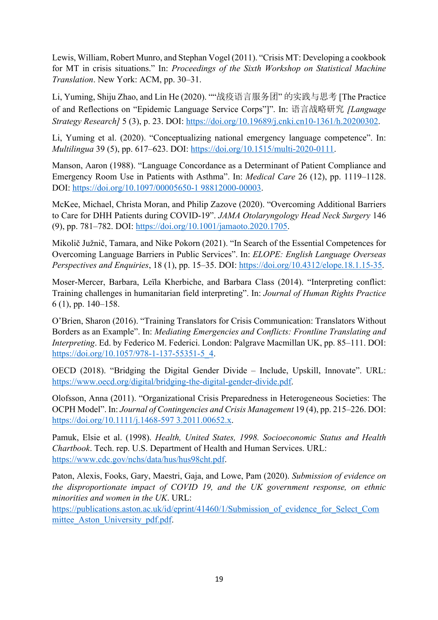Lewis, William, Robert Munro, and Stephan Vogel (2011). "Crisis MT: Developing a cookbook for MT in crisis situations." In: *Proceedings of the Sixth Workshop on Statistical Machine Translation*. New York: ACM, pp. 30–31.

Li, Yuming, Shiju Zhao, and Lin He (2020). ""战疫语言服务团" 的实践与思考 [The Practice of and Reflections on "Epidemic Language Service Corps"]". In: 语言战略研究 *[Language Strategy Research]* 5 (3), p. 23. DOI: https://doi.org/10.19689/j.cnki.cn10-1361/h.20200302.

Li, Yuming et al. (2020). "Conceptualizing national emergency language competence". In: *Multilingua* 39 (5), pp. 617–623. DOI: https://doi.org/10.1515/multi-2020-0111.

Manson, Aaron (1988). "Language Concordance as a Determinant of Patient Compliance and Emergency Room Use in Patients with Asthma". In: *Medical Care* 26 (12), pp. 1119–1128. DOI: https://doi.org/10.1097/00005650-1 98812000-00003.

McKee, Michael, Christa Moran, and Philip Zazove (2020). "Overcoming Additional Barriers to Care for DHH Patients during COVID-19". *JAMA Otolaryngology Head Neck Surgery* 146 (9), pp. 781–782. DOI: https://doi.org/10.1001/jamaoto.2020.1705.

Mikolič Južnič, Tamara, and Nike Pokorn (2021). "In Search of the Essential Competences for Overcoming Language Barriers in Public Services". In: *ELOPE: English Language Overseas Perspectives and Enquiries*, 18 (1), pp. 15–35. DOI: https://doi.org/10.4312/elope.18.1.15-35.

Moser-Mercer, Barbara, Leïla Kherbiche, and Barbara Class (2014). "Interpreting conflict: Training challenges in humanitarian field interpreting". In: *Journal of Human Rights Practice*  6 (1), pp. 140–158.

O'Brien, Sharon (2016). "Training Translators for Crisis Communication: Translators Without Borders as an Example". In: *Mediating Emergencies and Conflicts: Frontline Translating and Interpreting*. Ed. by Federico M. Federici. London: Palgrave Macmillan UK, pp. 85–111. DOI: https://doi.org/10.1057/978-1-137-55351-5\_4.

OECD (2018). "Bridging the Digital Gender Divide – Include, Upskill, Innovate". URL: https://www.oecd.org/digital/bridging-the-digital-gender-divide.pdf.

Olofsson, Anna (2011). "Organizational Crisis Preparedness in Heterogeneous Societies: The OCPH Model". In: *Journal of Contingencies and Crisis Management* 19 (4), pp. 215–226. DOI: https://doi.org/10.1111/j.1468-597 3.2011.00652.x.

Pamuk, Elsie et al. (1998). *Health, United States, 1998. Socioeconomic Status and Health Chartbook*. Tech. rep. U.S. Department of Health and Human Services. URL: https://www.cdc.gov/nchs/data/hus/hus98cht.pdf.

Paton, Alexis, Fooks, Gary, Maestri, Gaja, and Lowe, Pam (2020). *Submission of evidence on the disproportionate impact of COVID 19, and the UK government response, on ethnic minorities and women in the UK*. URL:

https://publications.aston.ac.uk/id/eprint/41460/1/Submission of evidence for Select Com mittee Aston University pdf.pdf.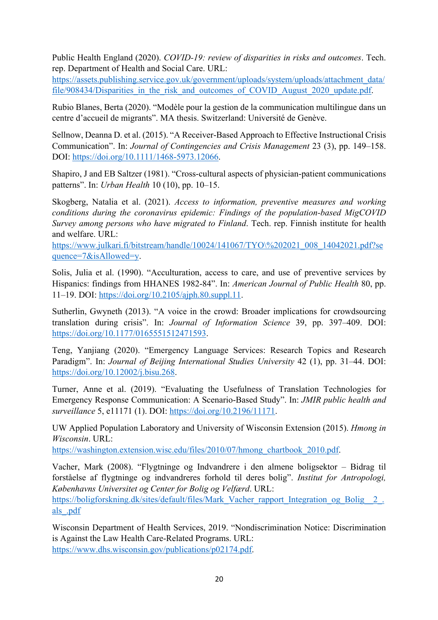Public Health England (2020). *COVID-19: review of disparities in risks and outcomes*. Tech. rep. Department of Health and Social Care. URL:

https://assets.publishing.service.gov.uk/government/uploads/system/uploads/attachment\_data/ file/908434/Disparities in the risk and outcomes of COVID August 2020 update.pdf.

Rubio Blanes, Berta (2020). "Modèle pour la gestion de la communication multilingue dans un centre d'accueil de migrants". MA thesis. Switzerland: Université de Genève.

Sellnow, Deanna D. et al. (2015). "A Receiver-Based Approach to Effective Instructional Crisis Communication". In: *Journal of Contingencies and Crisis Management* 23 (3), pp. 149–158. DOI: https://doi.org/10.1111/1468-5973.12066.

Shapiro, J and EB Saltzer (1981). "Cross-cultural aspects of physician-patient communications patterns". In: *Urban Health* 10 (10), pp. 10–15.

Skogberg, Natalia et al. (2021). *Access to information, preventive measures and working conditions during the coronavirus epidemic: Findings of the population-based MigCOVID Survey among persons who have migrated to Finland*. Tech. rep. Finnish institute for health and welfare. URL:

https://www.julkari.fi/bitstream/handle/10024/141067/TYO\%202021\_008\_14042021.pdf?se quence=7&isAllowed=y.

Solis, Julia et al. (1990). "Acculturation, access to care, and use of preventive services by Hispanics: findings from HHANES 1982-84". In: *American Journal of Public Health* 80, pp. 11–19. DOI: https://doi.org/10.2105/ajph.80.suppl.11.

Sutherlin, Gwyneth (2013). "A voice in the crowd: Broader implications for crowdsourcing translation during crisis". In: *Journal of Information Science* 39, pp. 397–409. DOI: https://doi.org/10.1177/0165551512471593.

Teng, Yanjiang (2020). "Emergency Language Services: Research Topics and Research Paradigm". In: *Journal of Beijing International Studies University* 42 (1), pp. 31–44. DOI: https://doi.org/10.12002/j.bisu.268.

Turner, Anne et al. (2019). "Evaluating the Usefulness of Translation Technologies for Emergency Response Communication: A Scenario-Based Study". In: *JMIR public health and surveillance* 5, e11171 (1). DOI: https://doi.org/10.2196/11171.

UW Applied Population Laboratory and University of Wisconsin Extension (2015). *Hmong in Wisconsin*. URL:

https://washington.extension.wisc.edu/files/2010/07/hmong\_chartbook\_2010.pdf.

Vacher, Mark (2008). "Flygtninge og Indvandrere i den almene boligsektor – Bidrag til forståelse af flygtninge og indvandreres forhold til deres bolig". *Institut for Antropologi, Københavns Universitet og Center for Bolig og Velfærd*. URL:

https://boligforskning.dk/sites/default/files/Mark\_Vacher\_rapport\_Integration\_og\_Bolig\_2\_. als\_.pdf

Wisconsin Department of Health Services, 2019. "Nondiscrimination Notice: Discrimination is Against the Law Health Care-Related Programs. URL: https://www.dhs.wisconsin.gov/publications/p02174.pdf.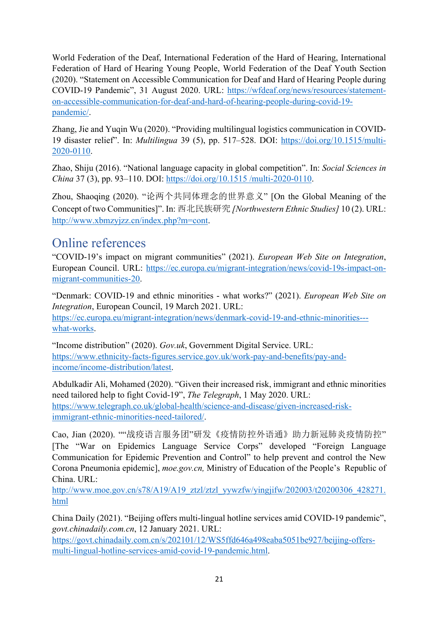World Federation of the Deaf, International Federation of the Hard of Hearing, International Federation of Hard of Hearing Young People, World Federation of the Deaf Youth Section (2020). "Statement on Accessible Communication for Deaf and Hard of Hearing People during COVID-19 Pandemic", 31 August 2020. URL: https://wfdeaf.org/news/resources/statementon-accessible-communication-for-deaf-and-hard-of-hearing-people-during-covid-19 pandemic/.

Zhang, Jie and Yuqin Wu (2020). "Providing multilingual logistics communication in COVID-19 disaster relief". In: *Multilingua* 39 (5), pp. 517–528. DOI: https://doi.org/10.1515/multi-2020-0110.

Zhao, Shiju (2016). "National language capacity in global competition". In: *Social Sciences in China* 37 (3), pp. 93–110. DOI: https://doi.org/10.1515 /multi-2020-0110.

Zhou, Shaoqing (2020). "论两个共同体理念的世界意义" [On the Global Meaning of the Concept of two Communities]". In: 西北民族研究 *[Northwestern Ethnic Studies]* 10 (2). URL: http://www.xbmzyjzz.cn/index.php?m=cont.

# Online references

"COVID-19's impact on migrant communities" (2021). *European Web Site on Integration*, European Council. URL: https://ec.europa.eu/migrant-integration/news/covid-19s-impact-onmigrant-communities-20.

"Denmark: COVID-19 and ethnic minorities - what works?" (2021). *European Web Site on Integration*, European Council, 19 March 2021. URL: https://ec.europa.eu/migrant-integration/news/denmark-covid-19-and-ethnic-minorities-- what-works.

"Income distribution" (2020). *Gov.uk*, Government Digital Service. URL: https://www.ethnicity-facts-figures.service.gov.uk/work-pay-and-benefits/pay-andincome/income-distribution/latest.

Abdulkadir Ali, Mohamed (2020). "Given their increased risk, immigrant and ethnic minorities need tailored help to fight Covid-19", *The Telegraph*, 1 May 2020. URL: https://www.telegraph.co.uk/global-health/science-and-disease/given-increased-riskimmigrant-ethnic-minorities-need-tailored/.

Cao, Jian (2020). ""战疫语言服务团"研发《疫情防控外语通》助力新冠肺炎疫情防控" [The "War on Epidemics Language Service Corps" developed "Foreign Language Communication for Epidemic Prevention and Control" to help prevent and control the New Corona Pneumonia epidemic], *moe.gov.cn,* Ministry of Education of the People's Republic of China. URL:

http://www.moe.gov.cn/s78/A19/A19\_ztzl/ztzl\_yywzfw/yingjifw/202003/t20200306\_428271. html

China Daily (2021). "Beijing offers multi-lingual hotline services amid COVID-19 pandemic", *govt.chinadaily.com.cn*, 12 January 2021. URL:

https://govt.chinadaily.com.cn/s/202101/12/WS5ffd646a498eaba5051be927/beijing-offersmulti-lingual-hotline-services-amid-covid-19-pandemic.html.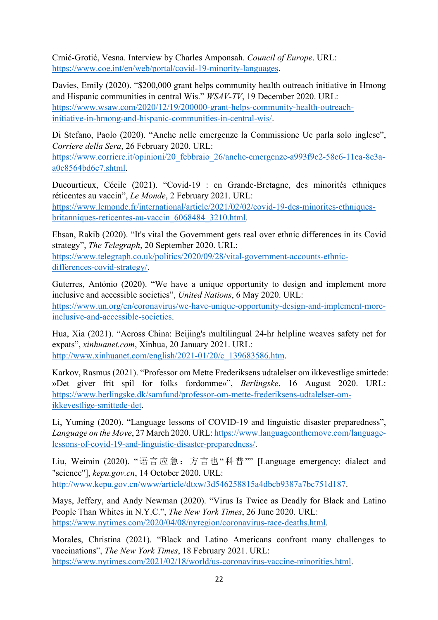Crnić-Grotić, Vesna. Interview by Charles Amponsah. *Council of Europe*. URL: https://www.coe.int/en/web/portal/covid-19-minority-languages.

Davies, Emily (2020). "\$200,000 grant helps community health outreach initiative in Hmong and Hispanic communities in central Wis." *WSAV-TV*, 19 December 2020. URL: https://www.wsaw.com/2020/12/19/200000-grant-helps-community-health-outreachinitiative-in-hmong-and-hispanic-communities-in-central-wis/.

Di Stefano, Paolo (2020). "Anche nelle emergenze la Commissione Ue parla solo inglese", *Corriere della Sera*, 26 February 2020. URL:

https://www.corriere.it/opinioni/20\_febbraio\_26/anche-emergenze-a993f9c2-58c6-11ea-8e3aa0c8564bd6c7.shtml.

Ducourtieux, Cécile (2021). "Covid-19 : en Grande-Bretagne, des minorités ethniques réticentes au vaccin", *Le Monde*, 2 February 2021. URL: https://www.lemonde.fr/international/article/2021/02/02/covid-19-des-minorites-ethniquesbritanniques-reticentes-au-vaccin\_6068484\_3210.html.

Ehsan, Rakib (2020). "It's vital the Government gets real over ethnic differences in its Covid strategy", *The Telegraph*, 20 September 2020. URL: https://www.telegraph.co.uk/politics/2020/09/28/vital-government-accounts-ethnicdifferences-covid-strategy/.

Guterres, António (2020). "We have a unique opportunity to design and implement more inclusive and accessible societies", *United Nations*, 6 May 2020. URL: https://www.un.org/en/coronavirus/we-have-unique-opportunity-design-and-implement-moreinclusive-and-accessible-societies.

Hua, Xia (2021). "Across China: Beijing's multilingual 24-hr helpline weaves safety net for expats", *xinhuanet.com*, Xinhua, 20 January 2021. URL: http://www.xinhuanet.com/english/2021-01/20/c\_139683586.htm.

Karkov, Rasmus (2021). "Professor om Mette Frederiksens udtalelser om ikkevestlige smittede: »Det giver frit spil for folks fordomme«", *Berlingske*, 16 August 2020. URL: https://www.berlingske.dk/samfund/professor-om-mette-frederiksens-udtalelser-omikkevestlige-smittede-det.

Li, Yuming (2020). "Language lessons of COVID-19 and linguistic disaster preparedness", *Language on the Move*, 27 March 2020. URL: https://www.languageonthemove.com/languagelessons-of-covid-19-and-linguistic-disaster-preparedness/.

Liu, Weimin (2020). "语言应急:方言也"科普"" [Language emergency: dialect and "science"], *kepu.gov.cn*, 14 October 2020. URL: http://www.kepu.gov.cn/www/article/dtxw/3d546258815a4dbcb9387a7bc751d187.

Mays, Jeffery, and Andy Newman (2020). "Virus Is Twice as Deadly for Black and Latino People Than Whites in N.Y.C.", *The New York Times*, 26 June 2020. URL: https://www.nytimes.com/2020/04/08/nyregion/coronavirus-race-deaths.html.

Morales, Christina (2021). "Black and Latino Americans confront many challenges to vaccinations", *The New York Times*, 18 February 2021. URL: https://www.nytimes.com/2021/02/18/world/us-coronavirus-vaccine-minorities.html.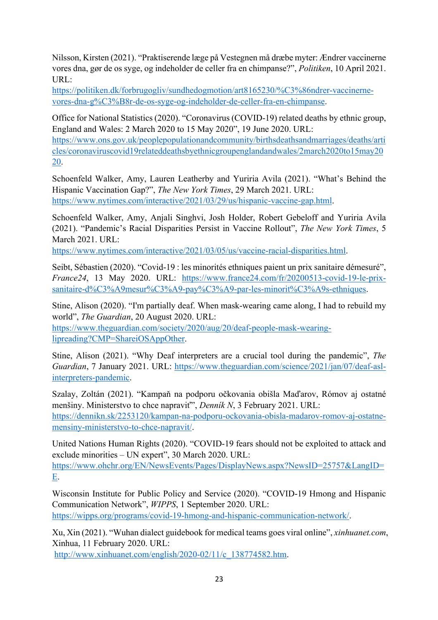Nilsson, Kirsten (2021). "Praktiserende læge på Vestegnen må dræbe myter: Ændrer vaccinerne vores dna, gør de os syge, og indeholder de celler fra en chimpanse?", *Politiken*, 10 April 2021. URL:

https://politiken.dk/forbrugogliv/sundhedogmotion/art8165230/%C3%86ndrer-vaccinernevores-dna-g%C3%B8r-de-os-syge-og-indeholder-de-celler-fra-en-chimpanse.

Office for National Statistics (2020). "Coronavirus (COVID-19) related deaths by ethnic group, England and Wales: 2 March 2020 to 15 May 2020", 19 June 2020. URL:

https://www.ons.gov.uk/peoplepopulationandcommunity/birthsdeathsandmarriages/deaths/arti cles/coronaviruscovid19relateddeathsbyethnicgroupenglandandwales/2march2020to15may20 20.

Schoenfeld Walker, Amy, Lauren Leatherby and Yuriria Avila (2021). "What's Behind the Hispanic Vaccination Gap?", *The New York Times*, 29 March 2021. URL: https://www.nytimes.com/interactive/2021/03/29/us/hispanic-vaccine-gap.html.

Schoenfeld Walker, Amy, Anjali Singhvi, Josh Holder, Robert Gebeloff and Yuriria Avila (2021). "Pandemic's Racial Disparities Persist in Vaccine Rollout", *The New York Times*, 5 March 2021. URL:

https://www.nytimes.com/interactive/2021/03/05/us/vaccine-racial-disparities.html.

Seibt, Sébastien (2020). "Covid-19 : les minorités ethniques paient un prix sanitaire démesuré", *France24*, 13 May 2020. URL: https://www.france24.com/fr/20200513-covid-19-le-prixsanitaire-d%C3%A9mesur%C3%A9-pay%C3%A9-par-les-minorit%C3%A9s-ethniques.

Stine, Alison (2020). "I'm partially deaf. When mask-wearing came along, I had to rebuild my world", *The Guardian*, 20 August 2020. URL:

https://www.theguardian.com/society/2020/aug/20/deaf-people-mask-wearinglipreading?CMP=ShareiOSAppOther.

Stine, Alison (2021). "Why Deaf interpreters are a crucial tool during the pandemic", *The Guardian*, 7 January 2021. URL: https://www.theguardian.com/science/2021/jan/07/deaf-aslinterpreters-pandemic.

Szalay, Zoltán (2021). "Kampaň na podporu očkovania obišla Maďarov, Rómov aj ostatné menšiny. Ministerstvo to chce napraviť", *Denník N*, 3 February 2021. URL: https://dennikn.sk/2253120/kampan-na-podporu-ockovania-obisla-madarov-romov-aj-ostatnemensiny-ministerstvo-to-chce-napravit/.

United Nations Human Rights (2020). "COVID-19 fears should not be exploited to attack and exclude minorities – UN expert", 30 March 2020. URL:

https://www.ohchr.org/EN/NewsEvents/Pages/DisplayNews.aspx?NewsID=25757&LangID= E.

Wisconsin Institute for Public Policy and Service (2020). "COVID-19 Hmong and Hispanic Communication Network", *WIPPS*, 1 September 2020. URL: https://wipps.org/programs/covid-19-hmong-and-hispanic-communication-network/.

Xu, Xin (2021). "Wuhan dialect guidebook for medical teams goes viral online", *xinhuanet.com*, Xinhua, 11 February 2020. URL:

http://www.xinhuanet.com/english/2020-02/11/c\_138774582.htm.